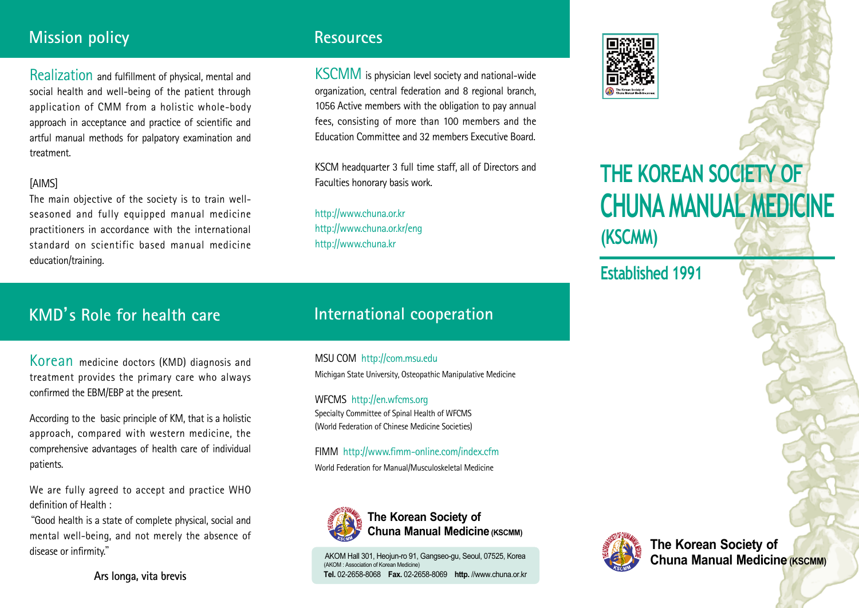## **Mission policy**

Realization and fulfillment of physical, mental and social health and well-being of the patient through application of CMM from a holistic whole-body approach in acceptance and practice of scientific and artful manual methods for palpatory examination and treatment.

#### [AIMS]

The main objective of the society is to train wellseasoned and fully equipped manual medicine practitioners in accordance with the international standard on scientific based manual medicine education/training.

# **KMD**'**s Role for health care**

Korean medicine doctors (KMD) diagnosis and treatment provides the primary care who always confirmed the EBM/EBP at the present.

According to the basic principle of KM, that is a holistic approach, compared with western medicine, the comprehensive advantages of health care of individual patients.

We are fully agreed to accept and practice WHO definition of Health :

"Good health is a state of complete physical, social and mental well-being, and not merely the absence of disease or infirmity."

## **Resources**

KSCMM is physician level society and national-wide organization, central federation and 8 regional branch, 1056 Active members with the obligation to pay annual fees, consisting of more than 100 members and the Education Committee and 32 members Executive Board.

KSCM headquarter 3 full time staff, all of Directors and Faculties honorary basis work.

http://www.chuna.or.kr http://www.chuna.or.kr/eng http://www.chuna.kr

## **International cooperation**

MSU COM http://com.msu.edu Michigan State University, Osteopathic Manipulative Medicine

WFCMS http://en.wfcms.org Specialty Committee of Spinal Health of WFCMS (World Federation of Chinese Medicine Societies)

FIMM http://www.fimm-online.com/index.cfm World Federation for Manual/Musculoskeletal Medicine



#### **The Korean Society of Chuna Manual Medicine (KSCMM)**

AKOM Hall 301, Heojun-ro 91, Gangseo-gu, Seoul, 07525, Korea (AKOM : Association of Korean Medicine) **Tel.** 02-2658-8068 **Fax.** 02-2658-8069 **http.** //www.chuna.or.kr



# **THE KOREAN SOCIETY OF CHUNA MANUAL MEDICINE**

**(KSCMM)**

**Established 1991**